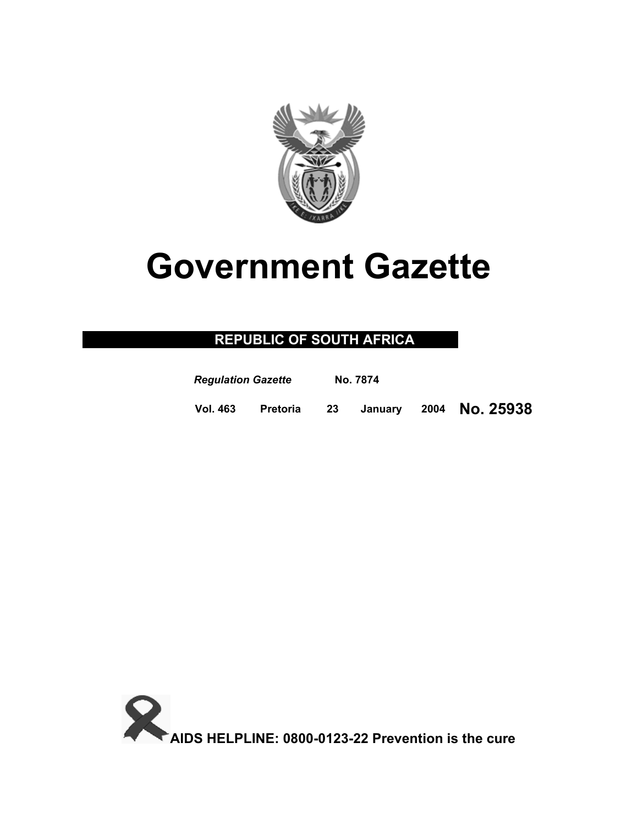

# **Government Gazette**

# **REPUBLIC OF SOUTH AFRICA**

| <b>Regulation Gazette</b> |                 | No. 7874 |         |                |
|---------------------------|-----------------|----------|---------|----------------|
| <b>Vol. 463</b>           | <b>Pretoria</b> | -23      | Januarv | 2004 No. 25938 |

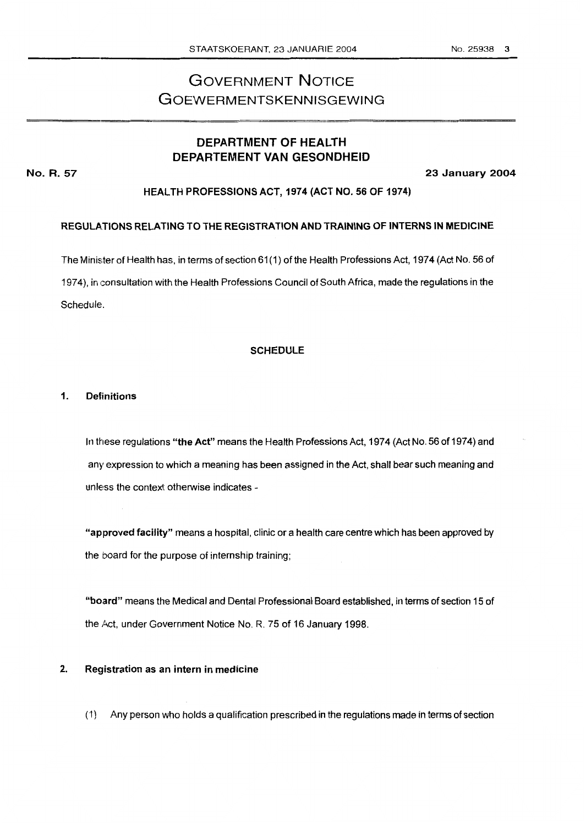# **GOVERNMENT NOTICE** GOEWERMENTSKENNISGEWING

### **DEPARTMENT OF HEALTH DEPARTEMENT VAN GESONDHEID**

**No. R. 57 23 January 2004** 

#### **HEALTH PROFESSIONS ACT, 1974 (ACT NO.** *56* **OF 1974)**

#### **REGULATIONS RELATING TO THE REGISTRATION AND TRAINING OF INTERNS IN MEDICINE**

The Minister of Health has, in terms of section 61(1) of the Health Professions Act, 1974 (Act No. 56 of 1974), in consultation with the Health Professions Council of South Africa, made the regulations in the Schedule.

#### **SCHEDULE**

#### **1. Definitions**

In these regulations **"the Act"** means the Health Professions Act, 1974 (Act No. 56 of 1974) and any expression to which a meaning has been assigned in the Act, shall bear such meaning and unless the context otherwise indicates -

**"approved facility"** means a hospital, clinic or a health care centre which has been approved by the board for the purpose of internship training;

**"bo,ard"** means the Medical and Dental Professional Board established, in terms of section 15 of the Act, under Government Notice No. R. 75 of 16 January 1998.

#### **2. Registration as an intern in medicine**

(1) Any person who holds a qualification prescribed in the regulations made in terms of section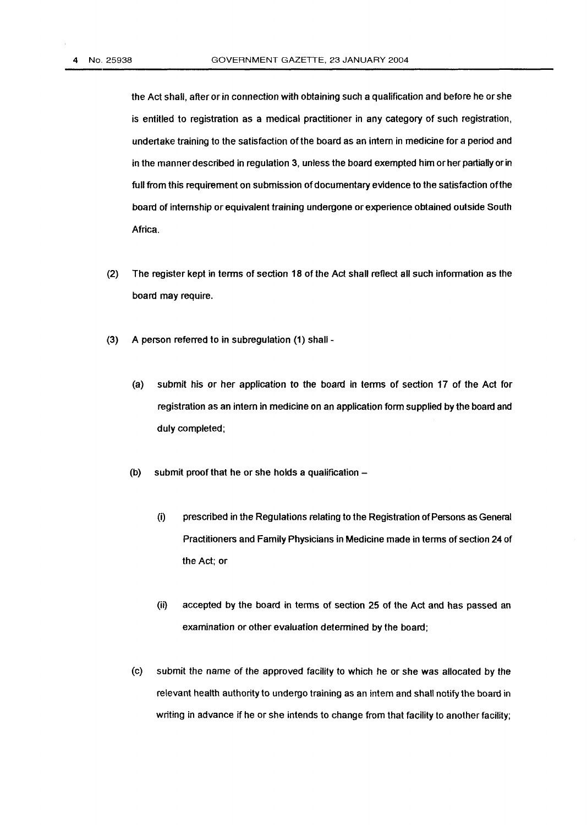the Act shall, after or in connection with obtaining such a qualification and before he or she is entitled to registration as a medical practitioner in any category of such registration, undertake training to the satisfaction ofthe board as an intern in medicine for a period and in the manner described in regulation 3, unless the board exempted him or her partially or in full from this requirement on submission of documentary evidence to the satisfaction ofthe board of internship or equivalent training undergone or experience obtained outside South Africa.

- (2) The register kept in terms of section **18** of the Act shall reflect all such information as the board may require.
- **(3)** A person referred to in subregulation **(1)** shall
	- (a) submit his or her application **to** the board in terms of section **17** of the Act for registration as an intern in medicine on an application form supplied by the board and duly completed;
	- (b) submit proof that he or she holds a qualification  $-$ 
		- (i) prescribed in the Regulations relating to the Registration of Persons **as** Geneml Practitioners and Family Physicians in Medicine made in terms of section **24** of the Ad; or
		- (ii) accepted by the board **in** terms of section 25 of the Act and has passed an examination or other evaluation determined by the board;
	- (c) submit the name of the approved facility to which he or she was allocated by the relevant heatth authority to undergo training as an intern and shall notify the board in writing in advance if he or she intends **to** change from that facility to another facility;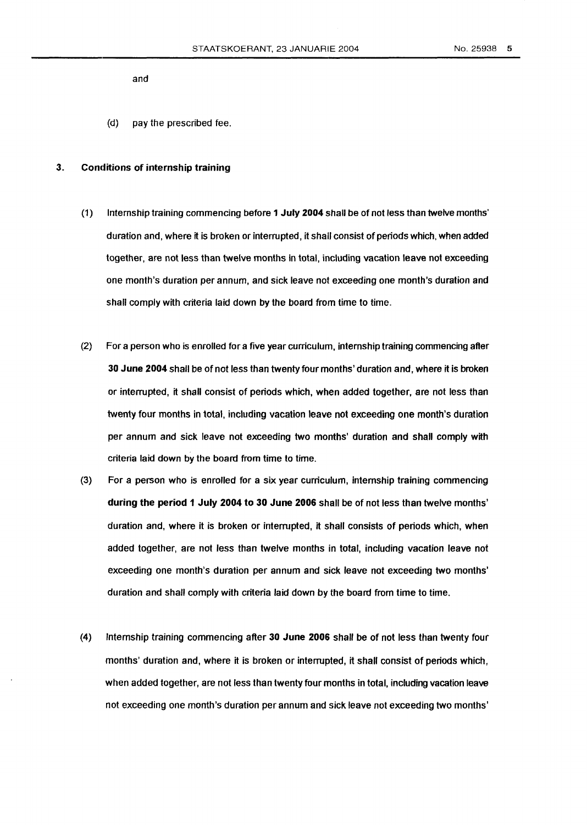and

**(d)** pay the prescribed fee.

#### **3.** Conditions **of** internship training

- **(1)** Internship training commencing before **1** July **2004** shall be of not less than twelve months' duration and, where it is broken or interrupted, it shall consist of periods which, when added together, are not less than twelve months in total, including vacation leave not exceeding one month's duration per annum, and sick leave not exceeding one month's duration and shall comply with criteria laid down by the board **from** time to time.
- *(2)* For a person who is enrolled for a five year curriculum, internship training commencing after *30* June **2004** shall be of not less than twenty four months' duration and, where it is broken or interrupted, it shall consist of periods which, when added together, are not less than twenty four months in total, including vacation leave not exceeding one month's duration per annum and sick leave not exceeding two months' duration and shall comply with criteria laid down by the board from time to time.
- (3) For a person who is enrolled for a six year curriculum, internship training commencing during the **period 1** July **2004 to** *30* June **2006** shall be of not less than twelve months' duration and, where it is broken or interrupted, it shall consists **of** periods which, when added together, are not less than twelve months in total, including vacation leave not exceeding one month's duration per annum and sick leave not exceeding two months' duration and shall comply with criteria laid down by the board from time to time.
- **(4)** Internship training commencing after **30** June **2006** shall be of not less than twenty four months' duration and, where it is broken or interrupted, it shall consist of periods which, when added together, are not less than twenty four months in total, including vacation leave not exceeding one month's duration per annum and sick leave not exceeding two months'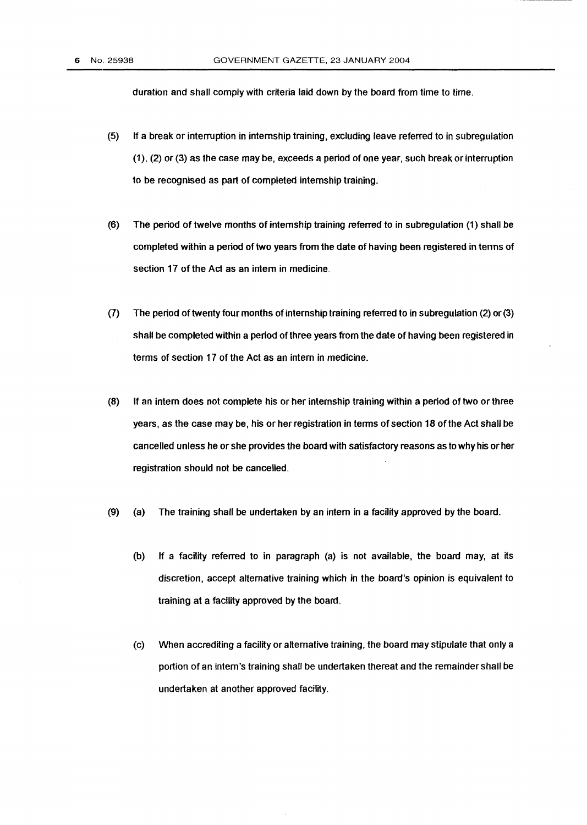duration and shall comply with criteria laid down by the board from time to time.

- $(5)$ If a break or interruption in internship training, excluding leave referred to in subregulation *(I),* (2) or **(3)** as the case may be, exceeds a period of one year, such break or interruption to be recognised as part of completed internship training.
- $(6)$ The period of twelve months of internship training referred to in subregulation **(1)** shall be completed within a period of two years from the date of having been registered in terms **of**  section 17 of the **Act** as an intern in medicine..
- The period of twenty four months ofinternship training referred **to** in subregulation (2) or (3)  $(7)$ shall be completed within a period of three years from the date of having been registered in terms of section **17** of the Act as an intern in medicine.
- $(8)$ If an intern does not complete his orher internship training within aperiod of **two** or three years, as the case may be, his or her registration in terms of section **18** of the Act shall be cancelled unless he or she provides the board with satisfactory reasons as to why **his or** her registration should not be cancelled.
- $(9)$ (a) The training shall be undertaken by an intern in a facility approved by the board.
	- (b) If a facility referred to in paragraph (a) is not available, the board may, at its discretion, accept alternative training which in the board's opinion is equivalent to training at a facility approved by the board.
	- (c) When accrediting a facility or alternative training, the board may stipulate that only a portion of an intern's training shall be undertaken thereat and the remainder shall be undertaken at another approved facility.